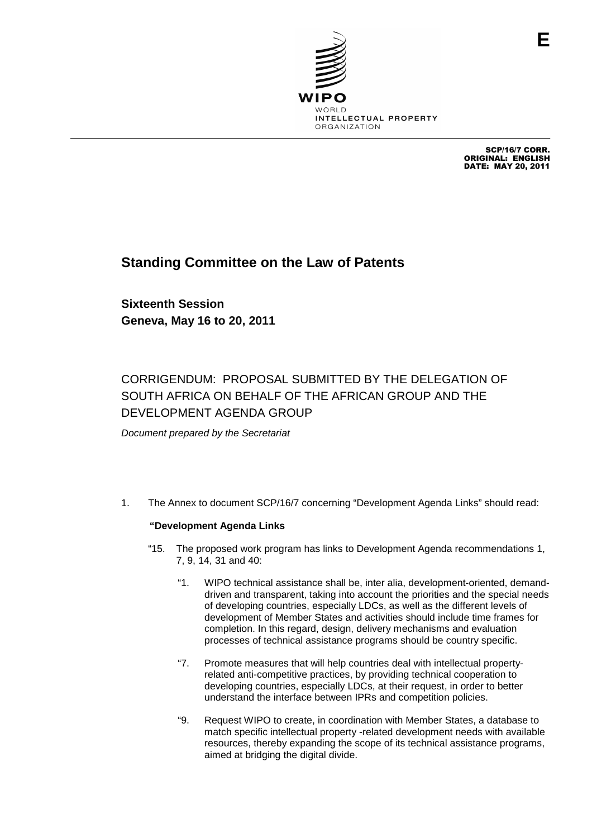

SCP/16/7 CORR. ORIGINAL: ENGLISH DATE: MAY 20, 2011

## **Standing Committee on the Law of Patents**

**Sixteenth Session Geneva, May 16 to 20, 2011**

## CORRIGENDUM: PROPOSAL SUBMITTED BY THE DELEGATION OF SOUTH AFRICA ON BEHALF OF THE AFRICAN GROUP AND THE DEVELOPMENT AGENDA GROUP

Document prepared by the Secretariat

1. The Annex to document SCP/16/7 concerning "Development Agenda Links" should read:

## **"Development Agenda Links**

- "15. The proposed work program has links to Development Agenda recommendations 1, 7, 9, 14, 31 and 40:
	- "1. WIPO technical assistance shall be, inter alia, development-oriented, demanddriven and transparent, taking into account the priorities and the special needs of developing countries, especially LDCs, as well as the different levels of development of Member States and activities should include time frames for completion. In this regard, design, delivery mechanisms and evaluation processes of technical assistance programs should be country specific.
	- "7. Promote measures that will help countries deal with intellectual propertyrelated anti-competitive practices, by providing technical cooperation to developing countries, especially LDCs, at their request, in order to better understand the interface between IPRs and competition policies.
	- "9. Request WIPO to create, in coordination with Member States, a database to match specific intellectual property -related development needs with available resources, thereby expanding the scope of its technical assistance programs, aimed at bridging the digital divide.